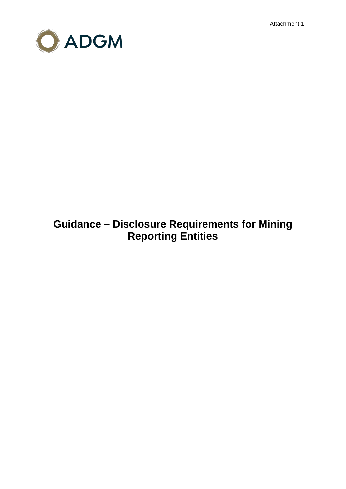Attachment 1



# **Guidance – Disclosure Requirements for Mining Reporting Entities**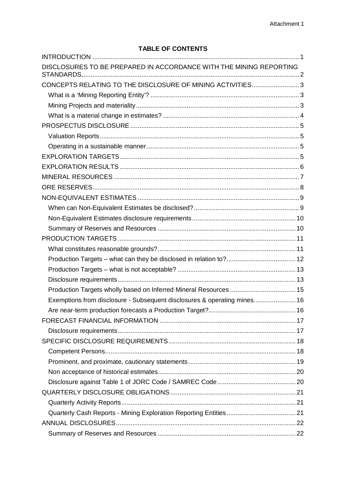# **TABLE OF CONTENTS**

| DISCLOSURES TO BE PREPARED IN ACCORDANCE WITH THE MINING REPORTING       |  |
|--------------------------------------------------------------------------|--|
| CONCEPTS RELATING TO THE DISCLOSURE OF MINING ACTIVITIES 3               |  |
|                                                                          |  |
|                                                                          |  |
|                                                                          |  |
|                                                                          |  |
|                                                                          |  |
|                                                                          |  |
|                                                                          |  |
|                                                                          |  |
|                                                                          |  |
|                                                                          |  |
|                                                                          |  |
|                                                                          |  |
|                                                                          |  |
|                                                                          |  |
|                                                                          |  |
|                                                                          |  |
|                                                                          |  |
|                                                                          |  |
|                                                                          |  |
| Production Targets wholly based on Inferred Mineral Resources  15        |  |
| Exemptions from disclosure - Subsequent disclosures & operating mines 16 |  |
|                                                                          |  |
|                                                                          |  |
|                                                                          |  |
|                                                                          |  |
|                                                                          |  |
|                                                                          |  |
|                                                                          |  |
|                                                                          |  |
|                                                                          |  |
|                                                                          |  |
|                                                                          |  |
|                                                                          |  |
|                                                                          |  |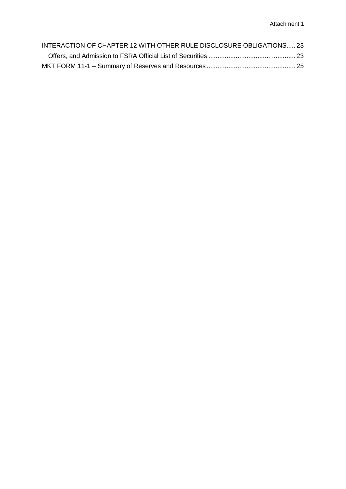| INTERACTION OF CHAPTER 12 WITH OTHER RULE DISCLOSURE OBLIGATIONS 23 |  |
|---------------------------------------------------------------------|--|
|                                                                     |  |
|                                                                     |  |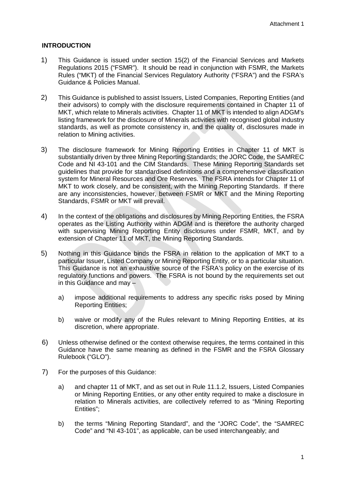# <span id="page-3-0"></span>**INTRODUCTION**

- 1) This Guidance is issued under section 15(2) of the Financial Services and Markets Regulations 2015 ("FSMR"). It should be read in conjunction with FSMR, the Markets Rules ("MKT) of the Financial Services Regulatory Authority ("FSRA") and the FSRA's Guidance & Policies Manual.
- 2) This Guidance is published to assist Issuers, Listed Companies, Reporting Entities (and their advisors) to comply with the disclosure requirements contained in Chapter 11 of MKT, which relate to Minerals activities. Chapter 11 of MKT is intended to align ADGM's listing framework for the disclosure of Minerals activities with recognised global industry standards, as well as promote consistency in, and the quality of, disclosures made in relation to Mining activities.
- 3) The disclosure framework for Mining Reporting Entities in Chapter 11 of MKT is substantially driven by three Mining Reporting Standards; the JORC Code, the SAMREC Code and NI 43-101 and the CIM Standards. These Mining Reporting Standards set guidelines that provide for standardised definitions and a comprehensive classification system for Mineral Resources and Ore Reserves. The FSRA intends for Chapter 11 of MKT to work closely, and be consistent, with the Mining Reporting Standards. If there are any inconsistencies, however, between FSMR or MKT and the Mining Reporting Standards, FSMR or MKT will prevail.
- 4) In the context of the obligations and disclosures by Mining Reporting Entities, the FSRA operates as the Listing Authority within ADGM and is therefore the authority charged with supervising Mining Reporting Entity disclosures under FSMR, MKT, and by extension of Chapter 11 of MKT, the Mining Reporting Standards.
- 5) Nothing in this Guidance binds the FSRA in relation to the application of MKT to a particular Issuer, Listed Company or Mining Reporting Entity, or to a particular situation. This Guidance is not an exhaustive source of the FSRA's policy on the exercise of its regulatory functions and powers. The FSRA is not bound by the requirements set out in this Guidance and may –
	- a) impose additional requirements to address any specific risks posed by Mining Reporting Entities;
	- b) waive or modify any of the Rules relevant to Mining Reporting Entities, at its discretion, where appropriate.
- 6) Unless otherwise defined or the context otherwise requires, the terms contained in this Guidance have the same meaning as defined in the FSMR and the FSRA Glossary Rulebook ("GLO").
- 7) For the purposes of this Guidance:
	- a) and chapter 11 of MKT, and as set out in Rule 11.1.2, Issuers, Listed Companies or Mining Reporting Entities, or any other entity required to make a disclosure in relation to Minerals activities, are collectively referred to as "Mining Reporting Entities";
	- b) the terms "Mining Reporting Standard", and the "JORC Code", the "SAMREC Code" and "NI 43-101", as applicable, can be used interchangeably; and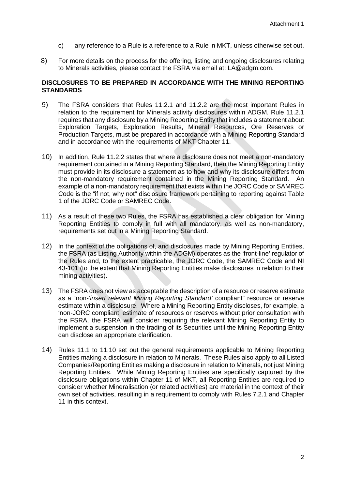- c) any reference to a Rule is a reference to a Rule in MKT, unless otherwise set out.
- 8) For more details on the process for the offering, listing and ongoing disclosures relating to Minerals activities, please contact the FSRA via email at: LA@adgm.com.

# <span id="page-4-0"></span>**DISCLOSURES TO BE PREPARED IN ACCORDANCE WITH THE MINING REPORTING STANDARDS**

- 9) The FSRA considers that Rules 11.2.1 and 11.2.2 are the most important Rules in relation to the requirement for Minerals activity disclosures within ADGM. Rule 11.2.1 requires that any disclosure by a Mining Reporting Entity that includes a statement about Exploration Targets, Exploration Results, Mineral Resources, Ore Reserves or Production Targets, must be prepared in accordance with a Mining Reporting Standard and in accordance with the requirements of MKT Chapter 11.
- 10) In addition, Rule 11.2.2 states that where a disclosure does not meet a non-mandatory requirement contained in a Mining Reporting Standard, then the Mining Reporting Entity must provide in its disclosure a statement as to how and why its disclosure differs from the non-mandatory requirement contained in the Mining Reporting Standard. An example of a non-mandatory requirement that exists within the JORC Code or SAMREC Code is the "if not, why not" disclosure framework pertaining to reporting against Table 1 of the JORC Code or SAMREC Code.
- 11) As a result of these two Rules, the FSRA has established a clear obligation for Mining Reporting Entities to comply in full with all mandatory, as well as non-mandatory, requirements set out in a Mining Reporting Standard.
- 12) In the context of the obligations of, and disclosures made by Mining Reporting Entities, the FSRA (as Listing Authority within the ADGM) operates as the 'front-line' regulator of the Rules and, to the extent practicable, the JORC Code, the SAMREC Code and NI 43-101 (to the extent that Mining Reporting Entities make disclosures in relation to their mining activities).
- 13) The FSRA does not view as acceptable the description of a resource or reserve estimate as a "non-*'insert relevant Mining Reporting Standard'* compliant" resource or reserve estimate within a disclosure. Where a Mining Reporting Entity discloses, for example, a 'non-JORC compliant' estimate of resources or reserves without prior consultation with the FSRA, the FSRA will consider requiring the relevant Mining Reporting Entity to implement a suspension in the trading of its Securities until the Mining Reporting Entity can disclose an appropriate clarification.
- 14) Rules 11.1 to 11.10 set out the general requirements applicable to Mining Reporting Entities making a disclosure in relation to Minerals. These Rules also apply to all Listed Companies/Reporting Entities making a disclosure in relation to Minerals, not just Mining Reporting Entities. While Mining Reporting Entities are specifically captured by the disclosure obligations within Chapter 11 of MKT, all Reporting Entities are required to consider whether Mineralisation (or related activities) are material in the context of their own set of activities, resulting in a requirement to comply with Rules 7.2.1 and Chapter 11 in this context.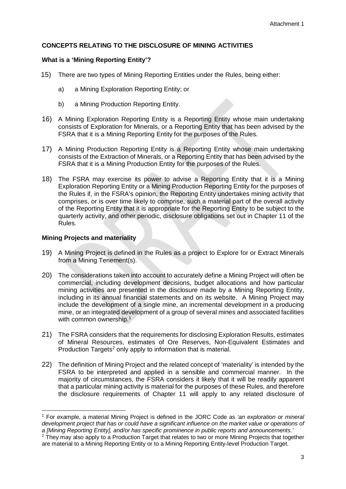# <span id="page-5-0"></span>**CONCEPTS RELATING TO THE DISCLOSURE OF MINING ACTIVITIES**

## <span id="page-5-1"></span>**What is a 'Mining Reporting Entity'?**

- 15) There are two types of Mining Reporting Entities under the Rules, being either:
	- a) a Mining Exploration Reporting Entity; or
	- b) a Mining Production Reporting Entity.
- 16) A Mining Exploration Reporting Entity is a Reporting Entity whose main undertaking consists of Exploration for Minerals, or a Reporting Entity that has been advised by the FSRA that it is a Mining Reporting Entity for the purposes of the Rules.
- 17) A Mining Production Reporting Entity is a Reporting Entity whose main undertaking consists of the Extraction of Minerals, or a Reporting Entity that has been advised by the FSRA that it is a Mining Production Entity for the purposes of the Rules.
- 18) The FSRA may exercise its power to advise a Reporting Entity that it is a Mining Exploration Reporting Entity or a Mining Production Reporting Entity for the purposes of the Rules if, in the FSRA's opinion, the Reporting Entity undertakes mining activity that comprises, or is over time likely to comprise, such a material part of the overall activity of the Reporting Entity that it is appropriate for the Reporting Entity to be subject to the quarterly activity, and other periodic, disclosure obligations set out in Chapter 11 of the Rules.

# <span id="page-5-2"></span>**Mining Projects and materiality**

- 19) A Mining Project is defined in the Rules as a project to Explore for or Extract Minerals from a Mining Tenement(s).
- 20) The considerations taken into account to accurately define a Mining Project will often be commercial, including development decisions, budget allocations and how particular mining activities are presented in the disclosure made by a Mining Reporting Entity, including in its annual financial statements and on its website. A Mining Project may include the development of a single mine, an incremental development in a producing mine, or an integrated development of a group of several mines and associated facilities with common ownership.<sup>[1](#page-5-3)</sup>
- 21) The FSRA considers that the requirements for disclosing Exploration Results, estimates of Mineral Resources, estimates of Ore Reserves, Non-Equivalent Estimates and Production Targets<sup>[2](#page-5-4)</sup> only apply to information that is material.
- 22) The definition of Mining Project and the related concept of 'materiality' is intended by the FSRA to be interpreted and applied in a sensible and commercial manner. In the majority of circumstances, the FSRA considers it likely that it will be readily apparent that a particular mining activity is material for the purposes of these Rules, and therefore the disclosure requirements of Chapter 11 will apply to any related disclosure of

<span id="page-5-3"></span><sup>1</sup> For example, a material Mining Project is defined in the JORC Code as *'an exploration or mineral*  development project that has or could have a significant influence on the market value or operations of a [Mining Reporting Entity], and/or has specific prominence in public reports and announcements.<sup>'</sup>

<span id="page-5-4"></span><sup>&</sup>lt;sup>2</sup> They may also apply to a Production Target that relates to two or more Mining Projects that together are material to a Mining Reporting Entity or to a Mining Reporting Entity-level Production Target.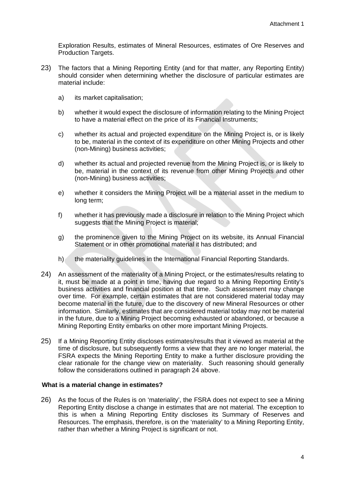Exploration Results, estimates of Mineral Resources, estimates of Ore Reserves and Production Targets.

- 23) The factors that a Mining Reporting Entity (and for that matter, any Reporting Entity) should consider when determining whether the disclosure of particular estimates are material include:
	- a) its market capitalisation;
	- b) whether it would expect the disclosure of information relating to the Mining Project to have a material effect on the price of its Financial Instruments;
	- c) whether its actual and projected expenditure on the Mining Project is, or is likely to be, material in the context of its expenditure on other Mining Projects and other (non-Mining) business activities;
	- d) whether its actual and projected revenue from the Mining Project is, or is likely to be, material in the context of its revenue from other Mining Projects and other (non-Mining) business activities;
	- e) whether it considers the Mining Project will be a material asset in the medium to long term;
	- f) whether it has previously made a disclosure in relation to the Mining Project which suggests that the Mining Project is material;
	- g) the prominence given to the Mining Project on its website, its Annual Financial Statement or in other promotional material it has distributed; and
	- h) the materiality guidelines in the International Financial Reporting Standards.
- 24) An assessment of the materiality of a Mining Project, or the estimates/results relating to it, must be made at a point in time, having due regard to a Mining Reporting Entity's business activities and financial position at that time. Such assessment may change over time. For example, certain estimates that are not considered material today may become material in the future, due to the discovery of new Mineral Resources or other information. Similarly, estimates that are considered material today may not be material in the future, due to a Mining Project becoming exhausted or abandoned, or because a Mining Reporting Entity embarks on other more important Mining Projects.
- 25) If a Mining Reporting Entity discloses estimates/results that it viewed as material at the time of disclosure, but subsequently forms a view that they are no longer material, the FSRA expects the Mining Reporting Entity to make a further disclosure providing the clear rationale for the change view on materiality. Such reasoning should generally follow the considerations outlined in paragraph 24 above.

#### <span id="page-6-0"></span>**What is a material change in estimates?**

26) As the focus of the Rules is on 'materiality', the FSRA does not expect to see a Mining Reporting Entity disclose a change in estimates that are not material. The exception to this is when a Mining Reporting Entity discloses its Summary of Reserves and Resources. The emphasis, therefore, is on the 'materiality' to a Mining Reporting Entity, rather than whether a Mining Project is significant or not.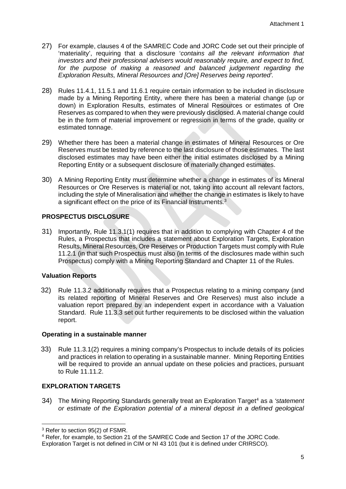- 27) For example, clauses 4 of the SAMREC Code and JORC Code set out their principle of 'materiality', requiring that a disclosure '*contains all the relevant information that investors and their professional advisers would reasonably require, and expect to find, for the purpose of making a reasoned and balanced judgement regarding the Exploration Results, Mineral Resources and [Ore] Reserves being reported'.*
- 28) Rules 11.4.1, 11.5.1 and 11.6.1 require certain information to be included in disclosure made by a Mining Reporting Entity, where there has been a material change (up or down) in Exploration Results, estimates of Mineral Resources or estimates of Ore Reserves as compared to when they were previously disclosed. A material change could be in the form of material improvement or regression in terms of the grade, quality or estimated tonnage.
- 29) Whether there has been a material change in estimates of Mineral Resources or Ore Reserves must be tested by reference to the last disclosure of those estimates. The last disclosed estimates may have been either the initial estimates disclosed by a Mining Reporting Entity or a subsequent disclosure of materially changed estimates.
- 30) A Mining Reporting Entity must determine whether a change in estimates of its Mineral Resources or Ore Reserves is material or not, taking into account all relevant factors, including the style of Mineralisation and whether the change in estimates is likely to have a significant effect on the price of its Financial Instruments.<sup>[3](#page-7-4)</sup>

# <span id="page-7-0"></span>**PROSPECTUS DISCLOSURE**

31) Importantly, Rule 11.3.1(1) requires that in addition to complying with Chapter 4 of the Rules, a Prospectus that includes a statement about Exploration Targets, Exploration Results, Mineral Resources, Ore Reserves or Production Targets must comply with Rule 11.2.1 (in that such Prospectus must also (in terms of the disclosures made within such Prospectus) comply with a Mining Reporting Standard and Chapter 11 of the Rules.

# <span id="page-7-1"></span>**Valuation Reports**

32) Rule 11.3.2 additionally requires that a Prospectus relating to a mining company (and its related reporting of Mineral Reserves and Ore Reserves) must also include a valuation report prepared by an independent expert in accordance with a Valuation Standard. Rule 11.3.3 set out further requirements to be disclosed within the valuation report.

# <span id="page-7-2"></span>**Operating in a sustainable manner**

33) Rule 11.3.1(2) requires a mining company's Prospectus to include details of its policies and practices in relation to operating in a sustainable manner. Mining Reporting Entities will be required to provide an annual update on these policies and practices, pursuant to Rule 11.11.2.

# <span id="page-7-3"></span>**EXPLORATION TARGETS**

34) The Mining Reporting Standards generally treat an Exploration Target<sup>4</sup> as a *'statement or estimate of the Exploration potential of a mineral deposit in a defined geological* 

**<sup>.</sup>** <sup>3</sup> Refer to section 95(2) of FSMR.

<span id="page-7-5"></span><span id="page-7-4"></span><sup>4</sup> Refer, for example, to Section 21 of the SAMREC Code and Section 17 of the JORC Code.

Exploration Target is not defined in CIM or NI 43 101 (but it is defined under CRIRSCO).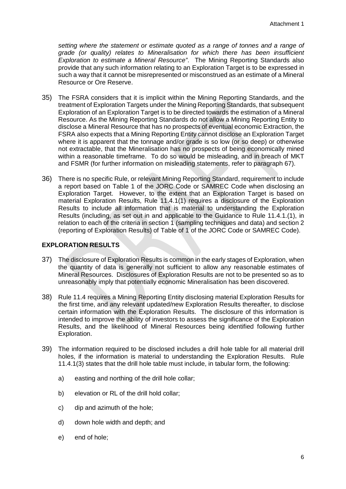*setting where the statement or estimate quoted as a range of tonnes and a range of grade (or quality) relates to Mineralisation for which there has been insufficient Exploration to estimate a Mineral Resource"*.The Mining Reporting Standards also provide that any such information relating to an Exploration Target is to be expressed in such a way that it cannot be misrepresented or misconstrued as an estimate of a Mineral Resource or Ore Reserve.

- 35) The FSRA considers that it is implicit within the Mining Reporting Standards, and the treatment of Exploration Targets under the Mining Reporting Standards, that subsequent Exploration of an Exploration Target is to be directed towards the estimation of a Mineral Resource. As the Mining Reporting Standards do not allow a Mining Reporting Entity to disclose a Mineral Resource that has no prospects of eventual economic Extraction, the FSRA also expects that a Mining Reporting Entity cannot disclose an Exploration Target where it is apparent that the tonnage and/or grade is so low (or so deep) or otherwise not extractable, that the Mineralisation has no prospects of being economically mined within a reasonable timeframe. To do so would be misleading, and in breach of MKT and FSMR (for further information on misleading statements, refer to paragraph 67).
- 36) There is no specific Rule, or relevant Mining Reporting Standard, requirement to include a report based on Table 1 of the JORC Code or SAMREC Code when disclosing an Exploration Target. However, to the extent that an Exploration Target is based on material Exploration Results, Rule 11.4.1(1) requires a disclosure of the Exploration Results to include all information that is material to understanding the Exploration Results (including, as set out in and applicable to the Guidance to Rule 11.4.1.(1), in relation to each of the criteria in section 1 (sampling techniques and data) and section 2 (reporting of Exploration Results) of Table of 1 of the JORC Code or SAMREC Code).

# <span id="page-8-0"></span>**EXPLORATION RESULTS**

- 37) The disclosure of Exploration Results is common in the early stages of Exploration, when the quantity of data is generally not sufficient to allow any reasonable estimates of Mineral Resources. Disclosures of Exploration Results are not to be presented so as to unreasonably imply that potentially economic Mineralisation has been discovered.
- 38) Rule 11.4 requires a Mining Reporting Entity disclosing material Exploration Results for the first time, and any relevant updated/new Exploration Results thereafter, to disclose certain information with the Exploration Results. The disclosure of this information is intended to improve the ability of investors to assess the significance of the Exploration Results, and the likelihood of Mineral Resources being identified following further Exploration.
- 39) The information required to be disclosed includes a drill hole table for all material drill holes, if the information is material to understanding the Exploration Results. Rule 11.4.1(3) states that the drill hole table must include, in tabular form, the following:
	- a) easting and northing of the drill hole collar;
	- b) elevation or RL of the drill hold collar;
	- c) dip and azimuth of the hole;
	- d) down hole width and depth; and
	- e) end of hole;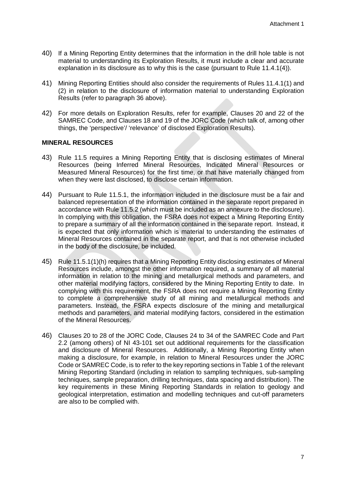- 40) If a Mining Reporting Entity determines that the information in the drill hole table is not material to understanding its Exploration Results, it must include a clear and accurate explanation in its disclosure as to why this is the case (pursuant to Rule 11.4.1(4)).
- 41) Mining Reporting Entities should also consider the requirements of Rules 11.4.1(1) and (2) in relation to the disclosure of information material to understanding Exploration Results (refer to paragraph 36 above).
- 42) For more details on Exploration Results, refer for example, Clauses 20 and 22 of the SAMREC Code, and Clauses 18 and 19 of the JORC Code (which talk of, among other things, the 'perspective'/ 'relevance' of disclosed Exploration Results).

#### <span id="page-9-0"></span>**MINERAL RESOURCES**

- 43) Rule 11.5 requires a Mining Reporting Entity that is disclosing estimates of Mineral Resources (being Inferred Mineral Resources, Indicated Mineral Resources or Measured Mineral Resources) for the first time, or that have materially changed from when they were last disclosed, to disclose certain information.
- 44) Pursuant to Rule 11.5.1, the information included in the disclosure must be a fair and balanced representation of the information contained in the separate report prepared in accordance with Rule 11.5.2 (which must be included as an annexure to the disclosure). In complying with this obligation, the FSRA does not expect a Mining Reporting Entity to prepare a summary of all the information contained in the separate report. Instead, it is expected that only information which is material to understanding the estimates of Mineral Resources contained in the separate report, and that is not otherwise included in the body of the disclosure, be included.
- 45) Rule 11.5.1(1)(h) requires that a Mining Reporting Entity disclosing estimates of Mineral Resources include, amongst the other information required, a summary of all material information in relation to the mining and metallurgical methods and parameters, and other material modifying factors, considered by the Mining Reporting Entity to date. In complying with this requirement, the FSRA does not require a Mining Reporting Entity to complete a comprehensive study of all mining and metallurgical methods and parameters. Instead, the FSRA expects disclosure of the mining and metallurgical methods and parameters, and material modifying factors, considered in the estimation of the Mineral Resources.
- 46) Clauses 20 to 28 of the JORC Code, Clauses 24 to 34 of the SAMREC Code and Part 2.2 (among others) of NI 43-101 set out additional requirements for the classification and disclosure of Mineral Resources. Additionally, a Mining Reporting Entity when making a disclosure, for example, in relation to Mineral Resources under the JORC Code or SAMREC Code, is to refer to the key reporting sections in Table 1 of the relevant Mining Reporting Standard (including in relation to sampling techniques, sub-sampling techniques, sample preparation, drilling techniques, data spacing and distribution). The key requirements in these Mining Reporting Standards in relation to geology and geological interpretation, estimation and modelling techniques and cut-off parameters are also to be complied with.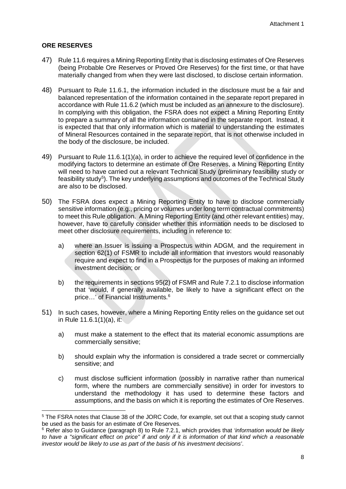# <span id="page-10-0"></span>**ORE RESERVES**

- 47) Rule 11.6 requires a Mining Reporting Entity that is disclosing estimates of Ore Reserves (being Probable Ore Reserves or Proved Ore Reserves) for the first time, or that have materially changed from when they were last disclosed, to disclose certain information.
- 48) Pursuant to Rule 11.6.1, the information included in the disclosure must be a fair and balanced representation of the information contained in the separate report prepared in accordance with Rule 11.6.2 (which must be included as an annexure to the disclosure). In complying with this obligation, the FSRA does not expect a Mining Reporting Entity to prepare a summary of all the information contained in the separate report. Instead, it is expected that that only information which is material to understanding the estimates of Mineral Resources contained in the separate report, that is not otherwise included in the body of the disclosure, be included.
- 49) Pursuant to Rule 11.6.1(1)(a), in order to achieve the required level of confidence in the modifying factors to determine an estimate of Ore Reserves, a Mining Reporting Entity will need to have carried out a relevant Technical Study (preliminary feasibility study or feasibility study<sup>[5](#page-10-1)</sup>). The key underlying assumptions and outcomes of the Technical Study are also to be disclosed.
- 50) The FSRA does expect a Mining Reporting Entity to have to disclose commercially sensitive information (e.g., pricing or volumes under long term contractual commitments) to meet this Rule obligation. A Mining Reporting Entity (and other relevant entities) may, however, have to carefully consider whether this information needs to be disclosed to meet other disclosure requirements, including in reference to:
	- a) where an Issuer is issuing a Prospectus within ADGM, and the requirement in section 62(1) of FSMR to include all information that investors would reasonably require and expect to find in a Prospectus for the purposes of making an informed investment decision; or
	- b) the requirements in sections 95(2) of FSMR and Rule 7.2.1 to disclose information that 'would, if generally available, be likely to have a significant effect on the price...' of Financial Instruments.<sup>[6](#page-10-2)</sup>
- 51) In such cases, however, where a Mining Reporting Entity relies on the guidance set out in Rule 11.6.1(1)(a), it:
	- a) must make a statement to the effect that its material economic assumptions are commercially sensitive;
	- b) should explain why the information is considered a trade secret or commercially sensitive; and
	- c) must disclose sufficient information (possibly in narrative rather than numerical form, where the numbers are commercially sensitive) in order for investors to understand the methodology it has used to determine these factors and assumptions, and the basis on which it is reporting the estimates of Ore Reserves.

<span id="page-10-1"></span><sup>5</sup> The FSRA notes that Clause 38 of the JORC Code, for example, set out that a scoping study cannot be used as the basis for an estimate of Ore Reserves.

<span id="page-10-2"></span><sup>6</sup> Refer also to Guidance (paragraph 8) to Rule 7.2.1, which provides that *'information would be likely to have a "significant effect on price" if and only if it is information of that kind which a reasonable investor would be likely to use as part of the basis of his investment decisions'*.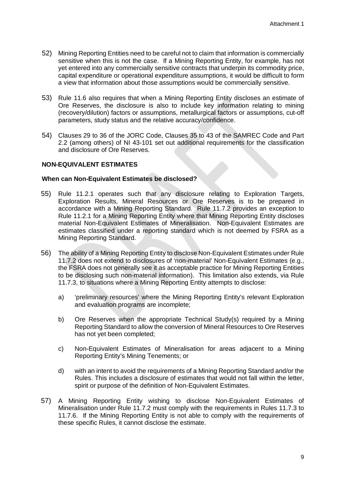- 52) Mining Reporting Entities need to be careful not to claim that information is commercially sensitive when this is not the case. If a Mining Reporting Entity, for example, has not yet entered into any commercially sensitive contracts that underpin its commodity price, capital expenditure or operational expenditure assumptions, it would be difficult to form a view that information about those assumptions would be commercially sensitive.
- 53) Rule 11.6 also requires that when a Mining Reporting Entity discloses an estimate of Ore Reserves, the disclosure is also to include key information relating to mining (recovery/dilution) factors or assumptions, metallurgical factors or assumptions, cut-off parameters, study status and the relative accuracy/confidence.
- 54) Clauses 29 to 36 of the JORC Code, Clauses 35 to 43 of the SAMREC Code and Part 2.2 (among others) of NI 43-101 set out additional requirements for the classification and disclosure of Ore Reserves.

# <span id="page-11-0"></span>**NON-EQUIVALENT ESTIMATES**

#### <span id="page-11-1"></span>**When can Non-Equivalent Estimates be disclosed?**

- 55) Rule 11.2.1 operates such that any disclosure relating to Exploration Targets, Exploration Results, Mineral Resources or Ore Reserves is to be prepared in accordance with a Mining Reporting Standard. Rule 11.7.2 provides an exception to Rule 11.2.1 for a Mining Reporting Entity where that Mining Reporting Entity discloses material Non-Equivalent Estimates of Mineralisation. Non-Equivalent Estimates are estimates classified under a reporting standard which is not deemed by FSRA as a Mining Reporting Standard.
- 56) The ability of a Mining Reporting Entity to disclose Non-Equivalent Estimates under Rule 11.7.2 does not extend to disclosures of 'non-material' Non-Equivalent Estimates (e.g., the FSRA does not generally see it as acceptable practice for Mining Reporting Entities to be disclosing such non-material information). This limitation also extends, via Rule 11.7.3, to situations where a Mining Reporting Entity attempts to disclose:
	- a) 'preliminary resources' where the Mining Reporting Entity's relevant Exploration and evaluation programs are incomplete;
	- b) Ore Reserves when the appropriate Technical Study(s) required by a Mining Reporting Standard to allow the conversion of Mineral Resources to Ore Reserves has not yet been completed;
	- c) Non-Equivalent Estimates of Mineralisation for areas adjacent to a Mining Reporting Entity's Mining Tenements; or
	- d) with an intent to avoid the requirements of a Mining Reporting Standard and/or the Rules. This includes a disclosure of estimates that would not fall within the letter, spirit or purpose of the definition of Non-Equivalent Estimates.
- 57) A Mining Reporting Entity wishing to disclose Non-Equivalent Estimates of Mineralisation under Rule 11.7.2 must comply with the requirements in Rules 11.7.3 to 11.7.6. If the Mining Reporting Entity is not able to comply with the requirements of these specific Rules, it cannot disclose the estimate.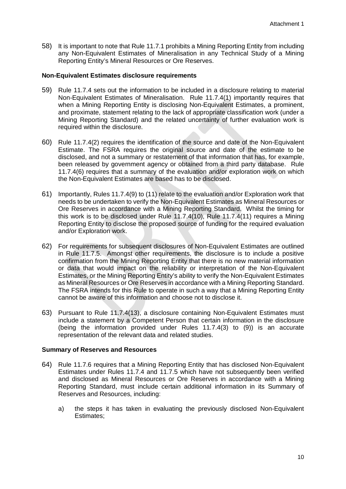58) It is important to note that Rule 11.7.1 prohibits a Mining Reporting Entity from including any Non-Equivalent Estimates of Mineralisation in any Technical Study of a Mining Reporting Entity's Mineral Resources or Ore Reserves.

#### <span id="page-12-0"></span>**Non-Equivalent Estimates disclosure requirements**

- 59) Rule 11.7.4 sets out the information to be included in a disclosure relating to material Non-Equivalent Estimates of Mineralisation. Rule 11.7.4(1) importantly requires that when a Mining Reporting Entity is disclosing Non-Equivalent Estimates, a prominent, and proximate, statement relating to the lack of appropriate classification work (under a Mining Reporting Standard) and the related uncertainty of further evaluation work is required within the disclosure.
- 60) Rule 11.7.4(2) requires the identification of the source and date of the Non-Equivalent Estimate. The FSRA requires the original source and date of the estimate to be disclosed, and not a summary or restatement of that information that has, for example, been released by government agency or obtained from a third party database. Rule 11.7.4(6) requires that a summary of the evaluation and/or exploration work on which the Non-Equivalent Estimates are based has to be disclosed.
- 61) Importantly, Rules 11.7.4(9) to (11) relate to the evaluation and/or Exploration work that needs to be undertaken to verify the Non-Equivalent Estimates as Mineral Resources or Ore Reserves in accordance with a Mining Reporting Standard. Whilst the timing for this work is to be disclosed under Rule 11.7.4(10), Rule 11.7.4(11) requires a Mining Reporting Entity to disclose the proposed source of funding for the required evaluation and/or Exploration work.
- 62) For requirements for subsequent disclosures of Non-Equivalent Estimates are outlined in Rule 11.7.5. Amongst other requirements, the disclosure is to include a positive confirmation from the Mining Reporting Entity that there is no new material information or data that would impact on the reliability or interpretation of the Non-Equivalent Estimates, or the Mining Reporting Entity's ability to verify the Non-Equivalent Estimates as Mineral Resources or Ore Reserves in accordance with a Mining Reporting Standard. The FSRA intends for this Rule to operate in such a way that a Mining Reporting Entity cannot be aware of this information and choose not to disclose it.
- 63) Pursuant to Rule 11.7.4(13), a disclosure containing Non-Equivalent Estimates must include a statement by a Competent Person that certain information in the disclosure (being the information provided under Rules 11.7.4(3) to (9)) is an accurate representation of the relevant data and related studies.

#### <span id="page-12-1"></span>**Summary of Reserves and Resources**

- 64) Rule 11.7.6 requires that a Mining Reporting Entity that has disclosed Non-Equivalent Estimates under Rules 11.7.4 and 11.7.5 which have not subsequently been verified and disclosed as Mineral Resources or Ore Reserves in accordance with a Mining Reporting Standard, must include certain additional information in its Summary of Reserves and Resources, including:
	- a) the steps it has taken in evaluating the previously disclosed Non-Equivalent Estimates;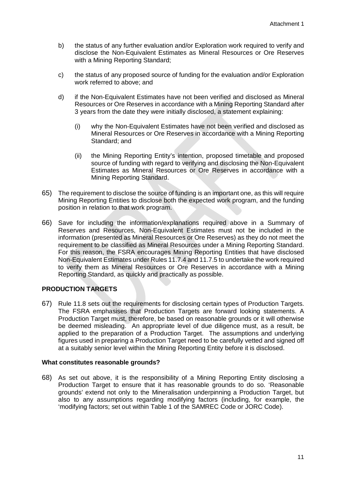- b) the status of any further evaluation and/or Exploration work required to verify and disclose the Non-Equivalent Estimates as Mineral Resources or Ore Reserves with a Mining Reporting Standard;
- c) the status of any proposed source of funding for the evaluation and/or Exploration work referred to above; and
- d) if the Non-Equivalent Estimates have not been verified and disclosed as Mineral Resources or Ore Reserves in accordance with a Mining Reporting Standard after 3 years from the date they were initially disclosed, a statement explaining:
	- (i) why the Non-Equivalent Estimates have not been verified and disclosed as Mineral Resources or Ore Reserves in accordance with a Mining Reporting Standard; and
	- (ii) the Mining Reporting Entity's intention, proposed timetable and proposed source of funding with regard to verifying and disclosing the Non-Equivalent Estimates as Mineral Resources or Ore Reserves in accordance with a Mining Reporting Standard.
- 65) The requirement to disclose the source of funding is an important one, as this will require Mining Reporting Entities to disclose both the expected work program, and the funding position in relation to that work program.
- 66) Save for including the information/explanations required above in a Summary of Reserves and Resources, Non-Equivalent Estimates must not be included in the information (presented as Mineral Resources or Ore Reserves) as they do not meet the requirement to be classified as Mineral Resources under a Mining Reporting Standard. For this reason, the FSRA encourages Mining Reporting Entities that have disclosed Non-Equivalent Estimates under Rules 11.7.4 and 11.7.5 to undertake the work required to verify them as Mineral Resources or Ore Reserves in accordance with a Mining Reporting Standard, as quickly and practically as possible.

# <span id="page-13-0"></span>**PRODUCTION TARGETS**

67) Rule 11.8 sets out the requirements for disclosing certain types of Production Targets. The FSRA emphasises that Production Targets are forward looking statements. A Production Target must, therefore, be based on reasonable grounds or it will otherwise be deemed misleading. An appropriate level of due diligence must, as a result, be applied to the preparation of a Production Target. The assumptions and underlying figures used in preparing a Production Target need to be carefully vetted and signed off at a suitably senior level within the Mining Reporting Entity before it is disclosed.

# <span id="page-13-1"></span>**What constitutes reasonable grounds?**

68) As set out above, it is the responsibility of a Mining Reporting Entity disclosing a Production Target to ensure that it has reasonable grounds to do so. 'Reasonable grounds' extend not only to the Mineralisation underpinning a Production Target, but also to any assumptions regarding modifying factors (including, for example, the 'modifying factors; set out within Table 1 of the SAMREC Code or JORC Code).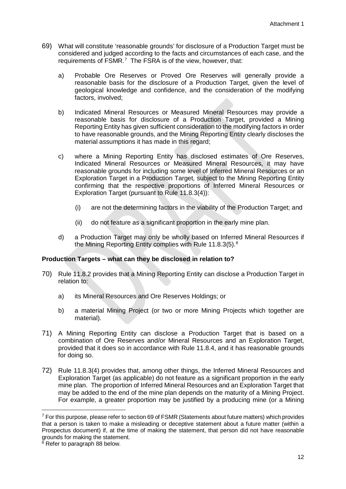- 69) What will constitute 'reasonable grounds' for disclosure of a Production Target must be considered and judged according to the facts and circumstances of each case, and the requirements of FSMR.<sup>[7](#page-14-1)</sup> The FSRA is of the view, however, that:
	- a) Probable Ore Reserves or Proved Ore Reserves will generally provide a reasonable basis for the disclosure of a Production Target, given the level of geological knowledge and confidence, and the consideration of the modifying factors, involved;
	- b) Indicated Mineral Resources or Measured Mineral Resources may provide a reasonable basis for disclosure of a Production Target, provided a Mining Reporting Entity has given sufficient consideration to the modifying factors in order to have reasonable grounds, and the Mining Reporting Entity clearly discloses the material assumptions it has made in this regard:
	- c) where a Mining Reporting Entity has disclosed estimates of Ore Reserves, Indicated Mineral Resources or Measured Mineral Resources, it may have reasonable grounds for including some level of Inferred Mineral Resources or an Exploration Target in a Production Target, subject to the Mining Reporting Entity confirming that the respective proportions of Inferred Mineral Resources or Exploration Target (pursuant to Rule 11.8.3(4)):
		- (i) are not the determining factors in the viability of the Production Target; and
		- (ii) do not feature as a significant proportion in the early mine plan.
	- d) a Production Target may only be wholly based on Inferred Mineral Resources if the Mining Reporting Entity complies with Rule 11.[8](#page-14-2).3(5).<sup>8</sup>

# <span id="page-14-0"></span>**Production Targets – what can they be disclosed in relation to?**

- 70) Rule 11.8.2 provides that a Mining Reporting Entity can disclose a Production Target in relation to:
	- a) its Mineral Resources and Ore Reserves Holdings; or
	- b) a material Mining Project (or two or more Mining Projects which together are material).
- 71) A Mining Reporting Entity can disclose a Production Target that is based on a combination of Ore Reserves and/or Mineral Resources and an Exploration Target, provided that it does so in accordance with Rule 11.8.4, and it has reasonable grounds for doing so.
- 72) Rule 11.8.3(4) provides that, among other things, the Inferred Mineral Resources and Exploration Target (as applicable) do not feature as a significant proportion in the early mine plan. The proportion of Inferred Mineral Resources and an Exploration Target that may be added to the end of the mine plan depends on the maturity of a Mining Project. For example, a greater proportion may be justified by a producing mine (or a Mining

<span id="page-14-1"></span> $<sup>7</sup>$  For this purpose, please refer to section 69 of FSMR (Statements about future matters) which provides</sup> that a person is taken to make a misleading or deceptive statement about a future matter (within a Prospectus document) if, at the time of making the statement, that person did not have reasonable grounds for making the statement.

<span id="page-14-2"></span><sup>&</sup>lt;sup>8</sup> Refer to paragraph 88 below.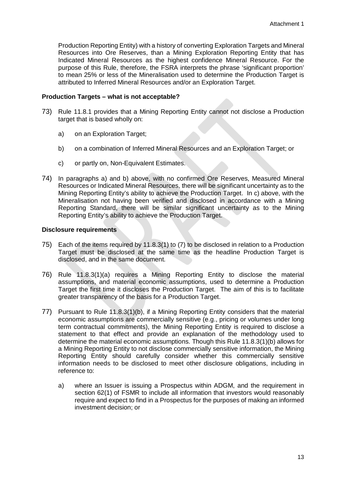Production Reporting Entity) with a history of converting Exploration Targets and Mineral Resources into Ore Reserves, than a Mining Exploration Reporting Entity that has Indicated Mineral Resources as the highest confidence Mineral Resource. For the purpose of this Rule, therefore, the FSRA interprets the phrase 'significant proportion' to mean 25% or less of the Mineralisation used to determine the Production Target is attributed to Inferred Mineral Resources and/or an Exploration Target.

#### <span id="page-15-0"></span>**Production Targets – what is not acceptable?**

- 73) Rule 11.8.1 provides that a Mining Reporting Entity cannot not disclose a Production target that is based wholly on:
	- a) on an Exploration Target;
	- b) on a combination of Inferred Mineral Resources and an Exploration Target; or
	- c) or partly on, Non-Equivalent Estimates.
- 74) In paragraphs a) and b) above, with no confirmed Ore Reserves, Measured Mineral Resources or Indicated Mineral Resources, there will be significant uncertainty as to the Mining Reporting Entity's ability to achieve the Production Target. In c) above, with the Mineralisation not having been verified and disclosed in accordance with a Mining Reporting Standard, there will be similar significant uncertainty as to the Mining Reporting Entity's ability to achieve the Production Target.

#### <span id="page-15-1"></span>**Disclosure requirements**

- 75) Each of the items required by 11.8.3(1) to (7) to be disclosed in relation to a Production Target must be disclosed at the same time as the headline Production Target is disclosed, and in the same document.
- 76) Rule 11.8.3(1)(a) requires a Mining Reporting Entity to disclose the material assumptions, and material economic assumptions, used to determine a Production Target the first time it discloses the Production Target. The aim of this is to facilitate greater transparency of the basis for a Production Target.
- 77) Pursuant to Rule 11.8.3(1)(b), if a Mining Reporting Entity considers that the material economic assumptions are commercially sensitive (e.g., pricing or volumes under long term contractual commitments), the Mining Reporting Entity is required to disclose a statement to that effect and provide an explanation of the methodology used to determine the material economic assumptions. Though this Rule 11.8.3(1)(b) allows for a Mining Reporting Entity to not disclose commercially sensitive information, the Mining Reporting Entity should carefully consider whether this commercially sensitive information needs to be disclosed to meet other disclosure obligations, including in reference to:
	- a) where an Issuer is issuing a Prospectus within ADGM, and the requirement in section 62(1) of FSMR to include all information that investors would reasonably require and expect to find in a Prospectus for the purposes of making an informed investment decision; or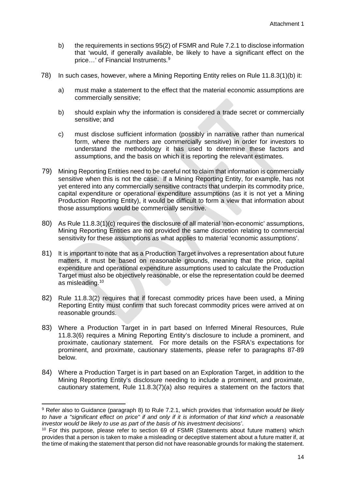- b) the requirements in sections 95(2) of FSMR and Rule 7.2.1 to disclose information that 'would, if generally available, be likely to have a significant effect on the price...' of Financial Instruments.<sup>[9](#page-16-0)</sup>
- 78) In such cases, however, where a Mining Reporting Entity relies on Rule 11.8.3(1)(b) it:
	- a) must make a statement to the effect that the material economic assumptions are commercially sensitive;
	- b) should explain why the information is considered a trade secret or commercially sensitive; and
	- c) must disclose sufficient information (possibly in narrative rather than numerical form, where the numbers are commercially sensitive) in order for investors to understand the methodology it has used to determine these factors and assumptions, and the basis on which it is reporting the relevant estimates.
- 79) Mining Reporting Entities need to be careful not to claim that information is commercially sensitive when this is not the case. If a Mining Reporting Entity, for example, has not yet entered into any commercially sensitive contracts that underpin its commodity price, capital expenditure or operational expenditure assumptions (as it is not yet a Mining Production Reporting Entity), it would be difficult to form a view that information about those assumptions would be commercially sensitive.
- 80) As Rule 11.8.3(1)(c) requires the disclosure of all material 'non-economic' assumptions, Mining Reporting Entities are not provided the same discretion relating to commercial sensitivity for these assumptions as what applies to material 'economic assumptions'.
- 81) It is important to note that as a Production Target involves a representation about future matters, it must be based on reasonable grounds, meaning that the price, capital expenditure and operational expenditure assumptions used to calculate the Production Target must also be objectively reasonable, or else the representation could be deemed as misleading.<sup>10</sup>
- 82) Rule 11.8.3(2) requires that if forecast commodity prices have been used, a Mining Reporting Entity must confirm that such forecast commodity prices were arrived at on reasonable grounds.
- 83) Where a Production Target in in part based on Inferred Mineral Resources, Rule 11.8.3(6) requires a Mining Reporting Entity's disclosure to include a prominent, and proximate, cautionary statement. For more details on the FSRA's expectations for prominent, and proximate, cautionary statements, please refer to paragraphs 87-89 below.
- 84) Where a Production Target is in part based on an Exploration Target, in addition to the Mining Reporting Entity's disclosure needing to include a prominent, and proximate, cautionary statement, Rule 11.8.3(7)(a) also requires a statement on the factors that

<span id="page-16-0"></span><sup>9</sup> Refer also to Guidance (paragraph 8) to Rule 7.2.1, which provides that *'information would be likely to have a "significant effect on price" if and only if it is information of that kind which a reasonable investor would be likely to use as part of the basis of his investment decisions'*.

<span id="page-16-1"></span><sup>&</sup>lt;sup>10</sup> For this purpose, please refer to section 69 of FSMR (Statements about future matters) which provides that a person is taken to make a misleading or deceptive statement about a future matter if, at the time of making the statement that person did not have reasonable grounds for making the statement.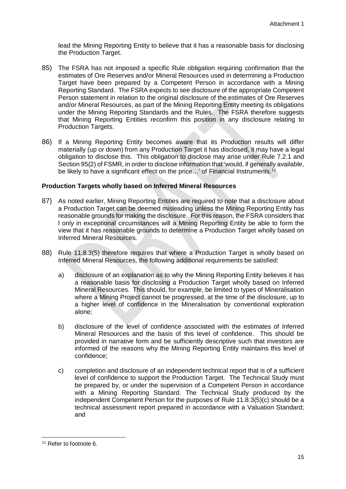lead the Mining Reporting Entity to believe that it has a reasonable basis for disclosing the Production Target.

- 85) The FSRA has not imposed a specific Rule obligation requiring confirmation that the estimates of Ore Reserves and/or Mineral Resources used in determining a Production Target have been prepared by a Competent Person in accordance with a Mining Reporting Standard. The FSRA expects to see disclosure of the appropriate Competent Person statement in relation to the original disclosure of the estimates of Ore Reserves and/or Mineral Resources, as part of the Mining Reporting Entity meeting its obligations under the Mining Reporting Standards and the Rules. The FSRA therefore suggests that Mining Reporting Entities reconfirm this position in any disclosure relating to Production Targets.
- 86) If a Mining Reporting Entity becomes aware that its Production results will differ materially (up or down) from any Production Target it has disclosed, it may have a legal obligation to disclose this. This obligation to disclose may arise under Rule 7.2.1 and Section 95(2) of FSMR, in order to disclose information that 'would, if generally available, be likely to have a significant effect on the price...' of Financial Instruments.<sup>[11](#page-17-1)</sup>

# <span id="page-17-0"></span>**Production Targets wholly based on Inferred Mineral Resources**

- 87) As noted earlier, Mining Reporting Entities are required to note that a disclosure about a Production Target can be deemed misleading unless the Mining Reporting Entity has reasonable grounds for making the disclosure. For this reason, the FSRA considers that l only in exceptional circumstances will a Mining Reporting Entity be able to form the view that it has reasonable grounds to determine a Production Target wholly based on Inferred Mineral Resources.
- 88) Rule 11.8.3(5) therefore requires that where a Production Target is wholly based on Inferred Mineral Resources, the following additional requirements be satisfied:
	- a) disclosure of an explanation as to why the Mining Reporting Entity believes it has a reasonable basis for disclosing a Production Target wholly based on Inferred Mineral Resources. This should, for example, be limited to types of Mineralisation where a Mining Project cannot be progressed, at the time of the disclosure, up to a higher level of confidence in the Mineralisation by conventional exploration alone;
	- b) disclosure of the level of confidence associated with the estimates of Inferred Mineral Resources and the basis of this level of confidence. This should be provided in narrative form and be sufficiently descriptive such that investors are informed of the reasons why the Mining Reporting Entity maintains this level of confidence;
	- c) completion and disclosure of an independent technical report that is of a sufficient level of confidence to support the Production Target. The Technical Study must be prepared by, or under the supervision of a Competent Person in accordance with a Mining Reporting Standard. The Technical Study produced by the independent Competent Person for the purposes of Rule 11.8.3(5)(c) should be a technical assessment report prepared in accordance with a Valuation Standard; and

<span id="page-17-1"></span> $\overline{a}$ <sup>11</sup> Refer to footnote 6.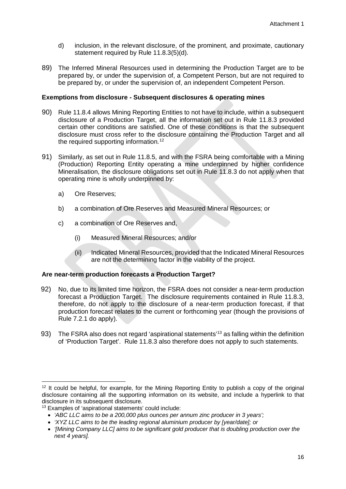- d) inclusion, in the relevant disclosure, of the prominent, and proximate, cautionary statement required by Rule 11.8.3(5)(d).
- 89) The Inferred Mineral Resources used in determining the Production Target are to be prepared by, or under the supervision of, a Competent Person, but are not required to be prepared by, or under the supervision of, an independent Competent Person.

# <span id="page-18-0"></span>**Exemptions from disclosure - Subsequent disclosures & operating mines**

- 90) Rule 11.8.4 allows Mining Reporting Entities to not have to include, within a subsequent disclosure of a Production Target, all the information set out in Rule 11.8.3 provided certain other conditions are satisfied. One of these conditions is that the subsequent disclosure must cross refer to the disclosure containing the Production Target and all the required supporting information.<sup>[12](#page-18-2)</sup>
- 91) Similarly, as set out in Rule 11.8.5, and with the FSRA being comfortable with a Mining (Production) Reporting Entity operating a mine underpinned by higher confidence Mineralisation, the disclosure obligations set out in Rule 11.8.3 do not apply when that operating mine is wholly underpinned by:
	- a) Ore Reserves;
	- b) a combination of Ore Reserves and Measured Mineral Resources; or
	- c) a combination of Ore Reserves and,
		- (i) Measured Mineral Resources; and/or
		- (ii) Indicated Mineral Resources, provided that the Indicated Mineral Resources are not the determining factor in the viability of the project.

# <span id="page-18-1"></span>**Are near-term production forecasts a Production Target?**

- 92) No, due to its limited time horizon, the FSRA does not consider a near-term production forecast a Production Target. The disclosure requirements contained in Rule 11.8.3, therefore, do not apply to the disclosure of a near-term production forecast, if that production forecast relates to the current or forthcoming year (though the provisions of Rule 7.2.1 do apply).
- 93) The FSRA also does not regard 'aspirational statements'<sup>[13](#page-18-3)</sup> as falling within the definition of 'Production Target'. Rule 11.8.3 also therefore does not apply to such statements.

<span id="page-18-2"></span> $\overline{a}$  $12$  It could be helpful, for example, for the Mining Reporting Entity to publish a copy of the original disclosure containing all the supporting information on its website, and include a hyperlink to that disclosure in its subsequent disclosure.

<span id="page-18-3"></span><sup>13</sup> Examples of 'aspirational statements' could include:

<sup>•</sup> *'ABC LLC aims to be a 200,000 plus ounces per annum zinc producer in 3 years';*

<sup>•</sup> *'XYZ LLC aims to be the leading regional aluminium producer by [year/date]; or*

<sup>•</sup> *'[Mining Company LLC] aims to be significant gold producer that is doubling production over the next 4 years].*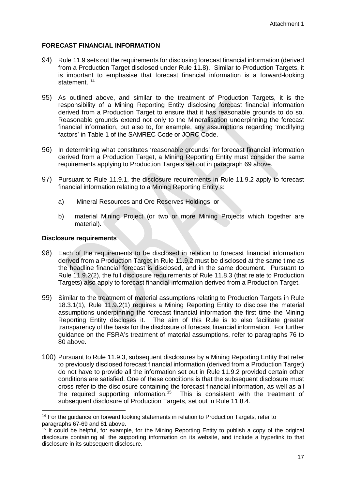# <span id="page-19-0"></span>**FORECAST FINANCIAL INFORMATION**

- 94) Rule 11.9 sets out the requirements for disclosing forecast financial information (derived from a Production Target disclosed under Rule 11.8). Similar to Production Targets, it is important to emphasise that forecast financial information is a forward-looking statement.<sup>14</sup>
- 95) As outlined above, and similar to the treatment of Production Targets, it is the responsibility of a Mining Reporting Entity disclosing forecast financial information derived from a Production Target to ensure that it has reasonable grounds to do so. Reasonable grounds extend not only to the Mineralisation underpinning the forecast financial information, but also to, for example, any assumptions regarding 'modifying factors' in Table 1 of the SAMREC Code or JORC Code.
- 96) In determining what constitutes 'reasonable grounds' for forecast financial information derived from a Production Target, a Mining Reporting Entity must consider the same requirements applying to Production Targets set out in paragraph 69 above.
- 97) Pursuant to Rule 11.9.1, the disclosure requirements in Rule 11.9.2 apply to forecast financial information relating to a Mining Reporting Entity's:
	- a) Mineral Resources and Ore Reserves Holdings; or
	- b) material Mining Project (or two or more Mining Projects which together are material).

# <span id="page-19-1"></span>**Disclosure requirements**

- 98) Each of the requirements to be disclosed in relation to forecast financial information derived from a Production Target in Rule 11.9.2 must be disclosed at the same time as the headline financial forecast is disclosed, and in the same document. Pursuant to Rule 11.9.2(2), the full disclosure requirements of Rule 11.8.3 (that relate to Production Targets) also apply to forecast financial information derived from a Production Target.
- 99) Similar to the treatment of material assumptions relating to Production Targets in Rule 18.3.1(1), Rule 11.9.2(1) requires a Mining Reporting Entity to disclose the material assumptions underpinning the forecast financial information the first time the Mining Reporting Entity discloses it. The aim of this Rule is to also facilitate greater transparency of the basis for the disclosure of forecast financial information. For further guidance on the FSRA's treatment of material assumptions, refer to paragraphs 76 to 80 above.
- 100) Pursuant to Rule 11.9.3, subsequent disclosures by a Mining Reporting Entity that refer to previously disclosed forecast financial information (derived from a Production Target) do not have to provide all the information set out in Rule 11.9.2 provided certain other conditions are satisfied. One of these conditions is that the subsequent disclosure must cross refer to the disclosure containing the forecast financial information, as well as all the required supporting information. [15](#page-19-3) This is consistent with the treatment of subsequent disclosure of Production Targets, set out in Rule 11.8.4.

<span id="page-19-2"></span><sup>&</sup>lt;sup>14</sup> For the quidance on forward looking statements in relation to Production Targets, refer to paragraphs 67-69 and 81 above.

<span id="page-19-3"></span> $15$  It could be helpful, for example, for the Mining Reporting Entity to publish a copy of the original disclosure containing all the supporting information on its website, and include a hyperlink to that disclosure in its subsequent disclosure.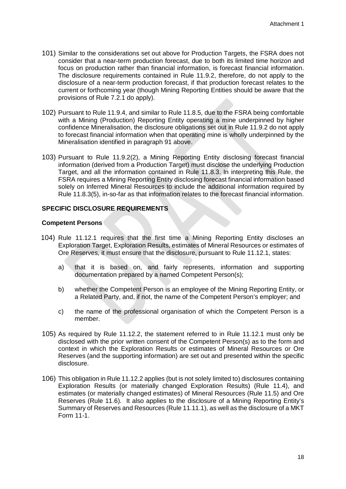- 101) Similar to the considerations set out above for Production Targets, the FSRA does not consider that a near-term production forecast, due to both its limited time horizon and focus on production rather than financial information, is forecast financial information. The disclosure requirements contained in Rule 11.9.2, therefore, do not apply to the disclosure of a near-term production forecast, if that production forecast relates to the current or forthcoming year (though Mining Reporting Entities should be aware that the provisions of Rule 7.2.1 do apply).
- 102) Pursuant to Rule 11.9.4, and similar to Rule 11.8.5, due to the FSRA being comfortable with a Mining (Production) Reporting Entity operating a mine underpinned by higher confidence Mineralisation, the disclosure obligations set out in Rule 11.9.2 do not apply to forecast financial information when that operating mine is wholly underpinned by the Mineralisation identified in paragraph 91 above.
- 103) Pursuant to Rule 11.9.2(2), a Mining Reporting Entity disclosing forecast financial information (derived from a Production Target) must disclose the underlying Production Target, and all the information contained in Rule 11.8.3. In interpreting this Rule, the FSRA requires a Mining Reporting Entity disclosing forecast financial information based solely on Inferred Mineral Resources to include the additional information required by Rule 11.8.3(5), in-so-far as that information relates to the forecast financial information.

### <span id="page-20-0"></span>**SPECIFIC DISCLOSURE REQUIREMENTS**

### <span id="page-20-1"></span>**Competent Persons**

- 104) Rule 11.12.1 requires that the first time a Mining Reporting Entity discloses an Exploration Target, Exploration Results, estimates of Mineral Resources or estimates of Ore Reserves, it must ensure that the disclosure, pursuant to Rule 11.12.1, states:
	- a) that it is based on, and fairly represents, information and supporting documentation prepared by a named Competent Person(s);
	- b) whether the Competent Person is an employee of the Mining Reporting Entity, or a Related Party, and, if not, the name of the Competent Person's employer; and
	- c) the name of the professional organisation of which the Competent Person is a member.
- 105) As required by Rule 11.12.2, the statement referred to in Rule 11.12.1 must only be disclosed with the prior written consent of the Competent Person(s) as to the form and context in which the Exploration Results or estimates of Mineral Resources or Ore Reserves (and the supporting information) are set out and presented within the specific disclosure.
- 106) This obligation in Rule 11.12.2 applies (but is not solely limited to) disclosures containing Exploration Results (or materially changed Exploration Results) (Rule 11.4), and estimates (or materially changed estimates) of Mineral Resources (Rule 11.5) and Ore Reserves (Rule 11.6). It also applies to the disclosure of a Mining Reporting Entity's Summary of Reserves and Resources (Rule 11.11.1), as well as the disclosure of a MKT Form 11-1.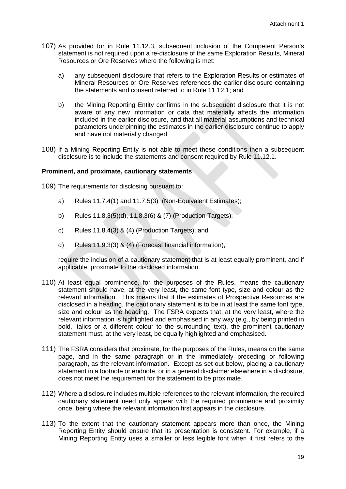- 107) As provided for in Rule 11.12.3, subsequent inclusion of the Competent Person's statement is not required upon a re-disclosure of the same Exploration Results, Mineral Resources or Ore Reserves where the following is met:
	- a) any subsequent disclosure that refers to the Exploration Results or estimates of Mineral Resources or Ore Reserves references the earlier disclosure containing the statements and consent referred to in Rule 11.12.1; and
	- b) the Mining Reporting Entity confirms in the subsequent disclosure that it is not aware of any new information or data that materially affects the information included in the earlier disclosure, and that all material assumptions and technical parameters underpinning the estimates in the earlier disclosure continue to apply and have not materially changed.
- 108) If a Mining Reporting Entity is not able to meet these conditions then a subsequent disclosure is to include the statements and consent required by Rule 11.12.1.

#### <span id="page-21-0"></span>**Prominent, and proximate, cautionary statements**

109) The requirements for disclosing pursuant to:

- a) Rules 11.7.4(1) and 11.7.5(3) (Non-Equivalent Estimates);
- b) Rules 11.8.3(5)(d), 11.8.3(6) & (7) (Production Targets);
- c) Rules 11.8.4(3) & (4) (Production Targets); and
- d) Rules 11.9.3(3) & (4) (Forecast financial information),

require the inclusion of a cautionary statement that is at least equally prominent, and if applicable, proximate to the disclosed information.

- 110) At least equal prominence, for the purposes of the Rules, means the cautionary statement should have, at the very least, the same font type, size and colour as the relevant information. This means that if the estimates of Prospective Resources are disclosed in a heading, the cautionary statement is to be in at least the same font type, size and colour as the heading. The FSRA expects that, at the very least, where the relevant information is highlighted and emphasised in any way (e.g., by being printed in bold, italics or a different colour to the surrounding text), the prominent cautionary statement must, at the very least, be equally highlighted and emphasised.
- 111) The FSRA considers that proximate, for the purposes of the Rules, means on the same page, and in the same paragraph or in the immediately preceding or following paragraph, as the relevant information. Except as set out below, placing a cautionary statement in a footnote or endnote, or in a general disclaimer elsewhere in a disclosure, does not meet the requirement for the statement to be proximate.
- 112) Where a disclosure includes multiple references to the relevant information, the required cautionary statement need only appear with the required prominence and proximity once, being where the relevant information first appears in the disclosure.
- 113) To the extent that the cautionary statement appears more than once, the Mining Reporting Entity should ensure that its presentation is consistent. For example, if a Mining Reporting Entity uses a smaller or less legible font when it first refers to the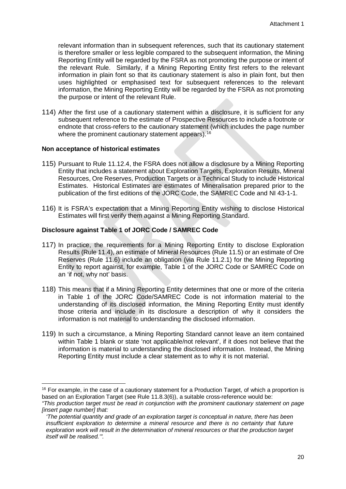relevant information than in subsequent references, such that its cautionary statement is therefore smaller or less legible compared to the subsequent information, the Mining Reporting Entity will be regarded by the FSRA as not promoting the purpose or intent of the relevant Rule. Similarly, if a Mining Reporting Entity first refers to the relevant information in plain font so that its cautionary statement is also in plain font, but then uses highlighted or emphasised text for subsequent references to the relevant information, the Mining Reporting Entity will be regarded by the FSRA as not promoting the purpose or intent of the relevant Rule.

114) After the first use of a cautionary statement within a disclosure, it is sufficient for any subsequent reference to the estimate of Prospective Resources to include a footnote or endnote that cross-refers to the cautionary statement (which includes the page number where the prominent cautionary statement appears).<sup>[16](#page-22-2)</sup>

#### <span id="page-22-0"></span>**Non acceptance of historical estimates**

 $\overline{a}$ 

- 115) Pursuant to Rule 11.12.4, the FSRA does not allow a disclosure by a Mining Reporting Entity that includes a statement about Exploration Targets, Exploration Results, Mineral Resources, Ore Reserves, Production Targets or a Technical Study to include Historical Estimates. Historical Estimates are estimates of Mineralisation prepared prior to the publication of the first editions of the JORC Code, the SAMREC Code and NI 43-1-1.
- 116) It is FSRA's expectation that a Mining Reporting Entity wishing to disclose Historical Estimates will first verify them against a Mining Reporting Standard.

#### <span id="page-22-1"></span>**Disclosure against Table 1 of JORC Code / SAMREC Code**

- 117) In practice, the requirements for a Mining Reporting Entity to disclose Exploration Results (Rule 11.4), an estimate of Mineral Resources (Rule 11.5) or an estimate of Ore Reserves (Rule 11.6) include an obligation (via Rule 11.2.1) for the Mining Reporting Entity to report against, for example, Table 1 of the JORC Code or SAMREC Code on an 'if not, why not' basis.
- 118) This means that if a Mining Reporting Entity determines that one or more of the criteria in Table 1 of the JORC Code/SAMREC Code is not information material to the understanding of its disclosed information, the Mining Reporting Entity must identify those criteria and include in its disclosure a description of why it considers the information is not material to understanding the disclosed information.
- 119) In such a circumstance, a Mining Reporting Standard cannot leave an item contained within Table 1 blank or state 'not applicable/not relevant', if it does not believe that the information is material to understanding the disclosed information. Instead, the Mining Reporting Entity must include a clear statement as to why it is not material.

<span id="page-22-2"></span><sup>&</sup>lt;sup>16</sup> For example, in the case of a cautionary statement for a Production Target, of which a proportion is based on an Exploration Target (see Rule 11.8.3(6)), a suitable cross-reference would be:

*<sup>&</sup>quot;This production target must be read in conjunction with the prominent cautionary statement on page [insert page number] that:*

*<sup>&#</sup>x27;The potential quantity and grade of an exploration target is conceptual in nature, there has been insufficient exploration to determine a mineral resource and there is no certainty that future exploration work will result in the determination of mineral resources or that the production target itself will be realised.'".*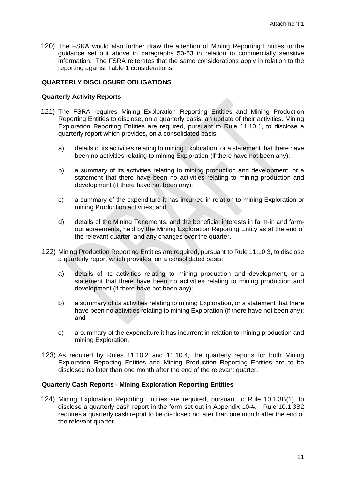120) The FSRA would also further draw the attention of Mining Reporting Entities to the guidance set out above in paragraphs 50-53 in relation to commercially sensitive information. The FSRA reiterates that the same considerations apply in relation to the reporting against Table 1 considerations.

# <span id="page-23-0"></span>**QUARTERLY DISCLOSURE OBLIGATIONS**

### <span id="page-23-1"></span>**Quarterly Activity Reports**

- 121) The FSRA requires Mining Exploration Reporting Entities and Mining Production Reporting Entities to disclose, on a quarterly basis, an update of their activities. Mining Exploration Reporting Entities are required, pursuant to Rule 11.10.1, to disclose a quarterly report which provides, on a consolidated basis:
	- a) details of its activities relating to mining Exploration, or a statement that there have been no activities relating to mining Exploration (if there have not been any);
	- b) a summary of its activities relating to mining production and development, or a statement that there have been no activities relating to mining production and development (if there have not been any);
	- c) a summary of the expenditure it has incurred in relation to mining Exploration or mining Production activities; and
	- d) details of the Mining Tenements, and the beneficial interests in farm-in and farmout agreements, held by the Mining Exploration Reporting Entity as at the end of the relevant quarter, and any changes over the quarter.
- 122) Mining Production Reporting Entities are required, pursuant to Rule 11.10.3, to disclose a quarterly report which provides, on a consolidated basis:
	- a) details of its activities relating to mining production and development, or a statement that there have been no activities relating to mining production and development (if there have not been any);
	- b) a summary of its activities relating to mining Exploration, or a statement that there have been no activities relating to mining Exploration (if there have not been any); and
	- c) a summary of the expenditure it has incurrent in relation to mining production and mining Exploration.
- 123) As required by Rules 11.10.2 and 11.10.4, the quarterly reports for both Mining Exploration Reporting Entities and Mining Production Reporting Entities are to be disclosed no later than one month after the end of the relevant quarter.

# <span id="page-23-2"></span>**Quarterly Cash Reports - Mining Exploration Reporting Entities**

124) Mining Exploration Reporting Entities are required, pursuant to Rule 10.1.3B(1), to disclose a quarterly cash report in the form set out in Appendix 10-#. Rule 10.1.3B2 requires a quarterly cash report to be disclosed no later than one month after the end of the relevant quarter.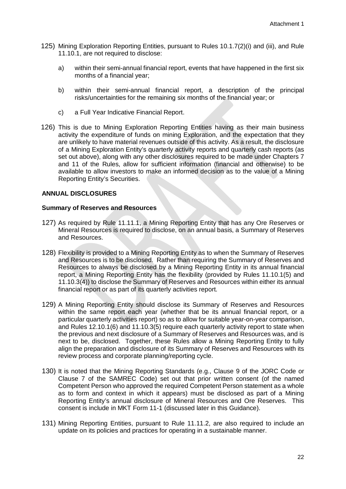- 125) Mining Exploration Reporting Entities, pursuant to Rules 10.1.7(2)(i) and (iii), and Rule 11.10.1, are not required to disclose:
	- a) within their semi-annual financial report, events that have happened in the first six months of a financial year;
	- b) within their semi-annual financial report, a description of the principal risks/uncertainties for the remaining six months of the financial year; or
	- c) a Full Year Indicative Financial Report.
- 126) This is due to Mining Exploration Reporting Entities having as their main business activity the expenditure of funds on mining Exploration, and the expectation that they are unlikely to have material revenues outside of this activity. As a result, the disclosure of a Mining Exploration Entity's quarterly activity reports and quarterly cash reports (as set out above), along with any other disclosures required to be made under Chapters 7 and 11 of the Rules, allow for sufficient information (financial and otherwise) to be available to allow investors to make an informed decision as to the value of a Mining Reporting Entity's Securities.

#### <span id="page-24-0"></span>**ANNUAL DISCLOSURES**

#### <span id="page-24-1"></span>**Summary of Reserves and Resources**

- 127) As required by Rule 11.11.1, a Mining Reporting Entity that has any Ore Reserves or Mineral Resources is required to disclose, on an annual basis, a Summary of Reserves and Resources.
- 128) Flexibility is provided to a Mining Reporting Entity as to when the Summary of Reserves and Resources is to be disclosed. Rather than requiring the Summary of Reserves and Resources to always be disclosed by a Mining Reporting Entity in its annual financial report, a Mining Reporting Entity has the flexibility (provided by Rules 11.10.1(5) and 11.10.3(4)) to disclose the Summary of Reserves and Resources within either its annual financial report or as part of its quarterly activities report.
- 129) A Mining Reporting Entity should disclose its Summary of Reserves and Resources within the same report each year (whether that be its annual financial report, or a particular quarterly activities report) so as to allow for suitable year-on-year comparison, and Rules 12.10.1(6) and 11.10.3(5) require each quarterly activity report to state when the previous and next disclosure of a Summary of Reserves and Resources was, and is next to be, disclosed. Together, these Rules allow a Mining Reporting Entity to fully align the preparation and disclosure of its Summary of Reserves and Resources with its review process and corporate planning/reporting cycle.
- 130) It is noted that the Mining Reporting Standards (e.g., Clause 9 of the JORC Code or Clause 7 of the SAMREC Code) set out that prior written consent (of the named Competent Person who approved the required Competent Person statement as a whole as to form and context in which it appears) must be disclosed as part of a Mining Reporting Entity's annual disclosure of Mineral Resources and Ore Reserves. This consent is include in MKT Form 11-1 (discussed later in this Guidance).
- 131) Mining Reporting Entities, pursuant to Rule 11.11.2, are also required to include an update on its policies and practices for operating in a sustainable manner.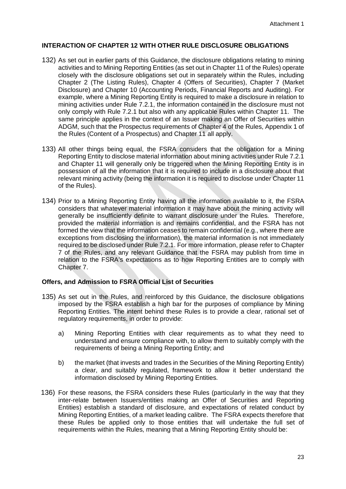## <span id="page-25-0"></span>**INTERACTION OF CHAPTER 12 WITH OTHER RULE DISCLOSURE OBLIGATIONS**

- 132) As set out in earlier parts of this Guidance, the disclosure obligations relating to mining activities and to Mining Reporting Entities (as set out in Chapter 11 of the Rules) operate closely with the disclosure obligations set out in separately within the Rules, including Chapter 2 (The Listing Rules), Chapter 4 (Offers of Securities), Chapter 7 (Market Disclosure) and Chapter 10 (Accounting Periods, Financial Reports and Auditing). For example, where a Mining Reporting Entity is required to make a disclosure in relation to mining activities under Rule 7.2.1, the information contained in the disclosure must not only comply with Rule 7.2.1 but also with any applicable Rules within Chapter 11. The same principle applies in the context of an Issuer making an Offer of Securities within ADGM, such that the Prospectus requirements of Chapter 4 of the Rules, Appendix 1 of the Rules (Content of a Prospectus) and Chapter 11 all apply.
- 133) All other things being equal, the FSRA considers that the obligation for a Mining Reporting Entity to disclose material information about mining activities under Rule 7.2.1 and Chapter 11 will generally only be triggered when the Mining Reporting Entity is in possession of all the information that it is required to include in a disclosure about that relevant mining activity (being the information it is required to disclose under Chapter 11 of the Rules).
- 134) Prior to a Mining Reporting Entity having all the information available to it, the FSRA considers that whatever material information it may have about the mining activity will generally be insufficiently definite to warrant disclosure under the Rules. Therefore, provided the material information is and remains confidential, and the FSRA has not formed the view that the information ceases to remain confidential (e.g., where there are exceptions from disclosing the information), the material information is not immediately required to be disclosed under Rule 7.2.1. For more information, please refer to Chapter 7 of the Rules, and any relevant Guidance that the FSRA may publish from time in relation to the FSRA's expectations as to how Reporting Entities are to comply with Chapter 7.

# <span id="page-25-1"></span>**Offers, and Admission to FSRA Official List of Securities**

- 135) As set out in the Rules, and reinforced by this Guidance, the disclosure obligations imposed by the FSRA establish a high bar for the purposes of compliance by Mining Reporting Entities. The intent behind these Rules is to provide a clear, rational set of regulatory requirements, in order to provide:
	- a) Mining Reporting Entities with clear requirements as to what they need to understand and ensure compliance with, to allow them to suitably comply with the requirements of being a Mining Reporting Entity; and
	- b) the market (that invests and trades in the Securities of the Mining Reporting Entity) a clear, and suitably regulated, framework to allow it better understand the information disclosed by Mining Reporting Entities.
- 136) For these reasons, the FSRA considers these Rules (particularly in the way that they inter-relate between Issuers/entities making an Offer of Securities and Reporting Entities) establish a standard of disclosure, and expectations of related conduct by Mining Reporting Entities, of a market leading calibre. The FSRA expects therefore that these Rules be applied only to those entities that will undertake the full set of requirements within the Rules, meaning that a Mining Reporting Entity should be: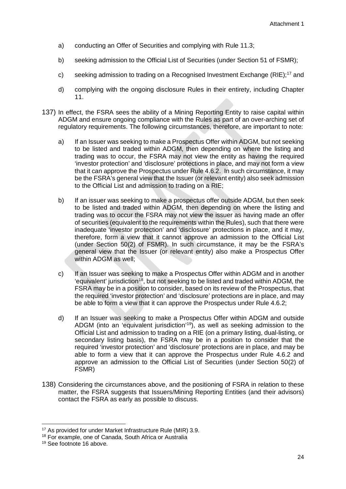- a) conducting an Offer of Securities and complying with Rule 11.3;
- b) seeking admission to the Official List of Securities (under Section 51 of FSMR);
- c) seeking admission to trading on a Recognised Investment Exchange (RIE);<sup>[17](#page-26-0)</sup> and
- d) complying with the ongoing disclosure Rules in their entirety, including Chapter 11.
- 137) In effect, the FSRA sees the ability of a Mining Reporting Entity to raise capital within ADGM and ensure ongoing compliance with the Rules as part of an over-arching set of regulatory requirements. The following circumstances, therefore, are important to note:
	- a) If an Issuer was seeking to make a Prospectus Offer within ADGM, but not seeking to be listed and traded within ADGM, then depending on where the listing and trading was to occur, the FSRA may not view the entity as having the required 'investor protection' and 'disclosure' protections in place, and may not form a view that it can approve the Prospectus under Rule 4.6.2. In such circumstance, it may be the FSRA's general view that the Issuer (or relevant entity) also seek admission to the Official List and admission to trading on a RIE;
	- b) If an issuer was seeking to make a prospectus offer outside ADGM, but then seek to be listed and traded within ADGM, then depending on where the listing and trading was to occur the FSRA may not view the issuer as having made an offer of securities (equivalent to the requirements within the Rules), such that there were inadequate 'investor protection' and 'disclosure' protections in place, and it may, therefore, form a view that it cannot approve an admission to the Official List (under Section 50(2) of FSMR). In such circumstance, it may be the FSRA's general view that the Issuer (or relevant entity) also make a Prospectus Offer within ADGM as well;
	- c) If an Issuer was seeking to make a Prospectus Offer within ADGM and in another 'equivalent' jurisdiction<sup>[18](#page-26-1)</sup>, but not seeking to be listed and traded within ADGM, the FSRA may be in a position to consider, based on its review of the Prospectus, that the required 'investor protection' and 'disclosure' protections are in place, and may be able to form a view that it can approve the Prospectus under Rule 4.6.2;
	- d) If an Issuer was seeking to make a Prospectus Offer within ADGM and outside ADGM (into an 'equivalent jurisdiction'[19](#page-26-2)), as well as seeking admission to the Official List and admission to trading on a RIE (on a primary listing, dual-listing, or secondary listing basis), the FSRA may be in a position to consider that the required 'investor protection' and 'disclosure' protections are in place, and may be able to form a view that it can approve the Prospectus under Rule 4.6.2 and approve an admission to the Official List of Securities (under Section 50(2) of FSMR)
- 138) Considering the circumstances above, and the positioning of FSRA in relation to these matter, the FSRA suggests that Issuers/Mining Reporting Entities (and their advisors) contact the FSRA as early as possible to discuss.

<sup>&</sup>lt;sup>17</sup> As provided for under Market Infrastructure Rule (MIR) 3.9.

<span id="page-26-1"></span><span id="page-26-0"></span><sup>18</sup> For example, one of Canada, South Africa or Australia

<span id="page-26-2"></span><sup>19</sup> See footnote 16 above.